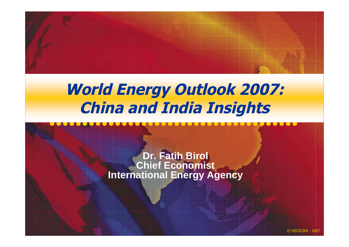

### **World Energy Outlook 2007: China and India Insights**

**Dr. Fatih Birol Chief Economist International Energy Agency**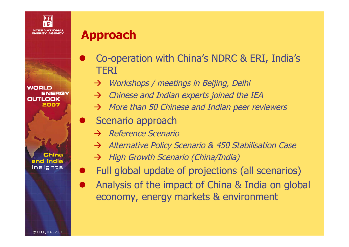

WORLD ENERGY **OUTLOOK** 2007

China and India Insights

### **Approach**

- Co-operation with China's NDRC & ERI, India's **TFRI** 
	- Workshops / meetings in Beijing, Delhi
	- $\rightarrow$  Chinese and Indian experts joined the IEA
	- $\rightarrow$  More than 50 Chinese and Indian peer reviewers
- Scenario approach
	- $\rightarrow$  Reference Scenario
	- Alternative Policy Scenario & 450 Stabilisation Case
	- $\rightarrow$  High Growth Scenario (China/India)
- Full global update of projections (all scenarios)
	- Analysis of the impact of China & India on global economy, energy markets & environment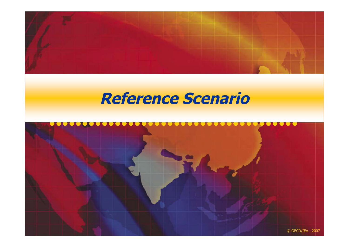

### **Reference Scenario**

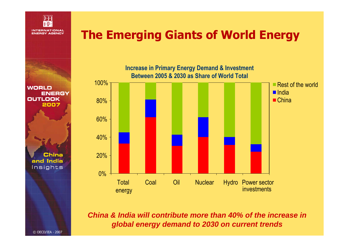

#### **The Emerging Giants of World Energy**

**Increase in Primary Energy Demand & Investment Between 2005 & 2030 as Share of World Total**



*China & India will contribute more than 40% of the increase in global energy demand to 2030 on current trends*

**ENERGY OUTLOOK** 2007

**WORLD** 

**China** and India Insights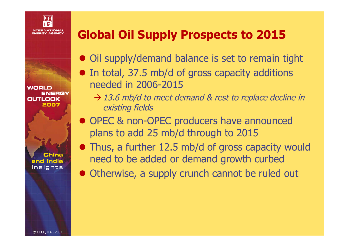

WORLD ENERGY **OUTLOOK** 2007

China and India Insights

### **Global Oil Supply Prospects to 2015**

- Oil supply/demand balance is set to remain tight
- In total, 37.5 mb/d of gross capacity additions needed in 2006-2015
	- $\rightarrow$  13.6 mb/d to meet demand & rest to replace decline in existing fields
- OPEC & non-OPEC producers have announced plans to add 25 mb/d through to 2015
- Thus, a further 12.5 mb/d of gross capacity would need to be added or demand growth curbed
- Otherwise, a supply crunch cannot be ruled out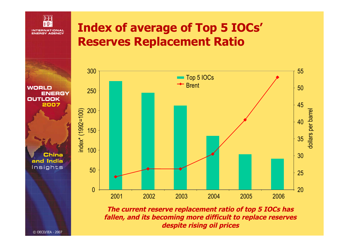

#### **Index of average of Top 5 IOCs' Reserves Replacement Ratio**



**The current reserve replacement ratio of top 5 IOCs has fallen, and its becoming more difficult to replace reserves despite rising oil prices**

**WORLD ENERGY OUTLOOK** 2007

> China and India Insights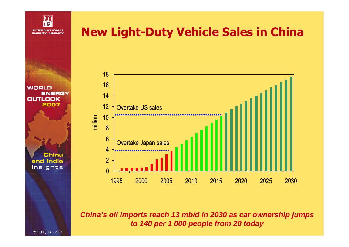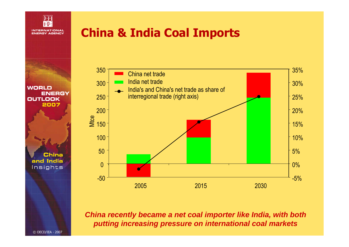

#### **China & India Coal Imports**



*China recently became a net coal importer like India, with both putting increasing pressure on international coal markets*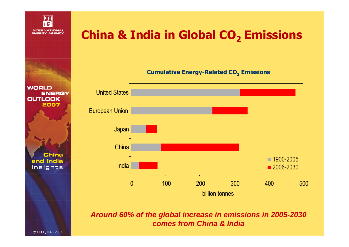

#### **WORLD** United States **ENERGY OUTLOOK** 2007 European Union Japan **China China** and India **India** Insights

#### **China & India in Global CO<sup>2</sup> Emissions**

**Cumulative Energy-Related CO<sup>2</sup> Emissions**



*Around 60% of the global increase in emissions in 2005-2030 comes from China & India*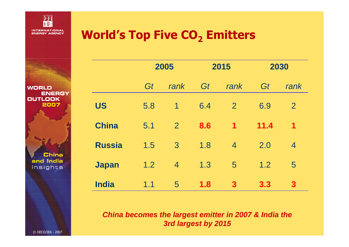

**WORLD** 

**OUTLOOK** 

**ENERGY** 

2007

**China** 

and India Insights

#### **World's Top Five CO<sup>2</sup> Emitters**

|               | 2005 |                | 2015 |                | 2030 |                |
|---------------|------|----------------|------|----------------|------|----------------|
|               | Gt   | rank           | Gt   | rank           | Gt   | rank           |
| <b>US</b>     | 5.8  | 1              | 6.4  | $\overline{2}$ | 6.9  | $\overline{2}$ |
| <b>China</b>  | 5.1  | $\overline{2}$ | 8.6  | $\mathbf 1$    | 11.4 | $\mathbf 1$    |
| <b>Russia</b> | 1.5  | $\overline{3}$ | 1.8  | $\overline{4}$ | 2.0  | $\overline{4}$ |
| <b>Japan</b>  | 1.2  | $\overline{4}$ | 1.3  | 5              | 1.2  | 5              |
| <b>India</b>  | 1.1  | 5              | 1.8  | $\mathbf{3}$   | 3.3  | $\mathbf{3}$   |

*China becomes the largest emitter in 2007 & India the 3rd largest by 2015*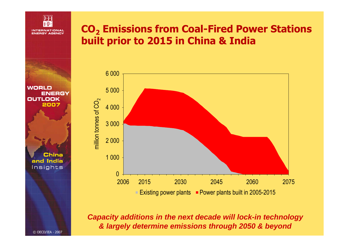

#### **CO<sup>2</sup> Emissions from Coal-Fired Power Stations built prior to 2015 in China & India**



*Capacity additions in the next decade will lock-in technology & largely determine emissions through 2050 & beyond*

**WORLD ENERGY OUTLOOK** 2007

> **China** and India Insights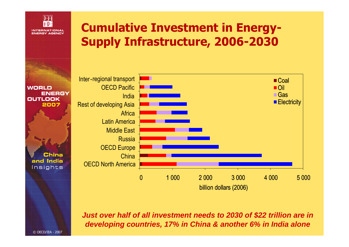

#### **Cumulative Investment in Energy-Supply Infrastructure, 2006-2030**



*Just over half of all investment needs to 2030 of \$22 trillion are in developing countries, 17% in China & another 6% in India alone*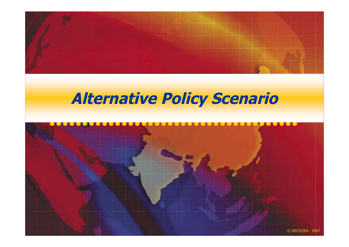

### **Alternative Policy Scenario**

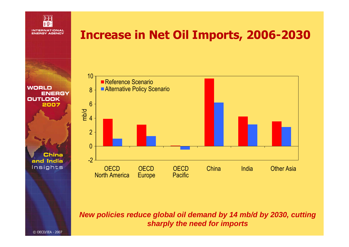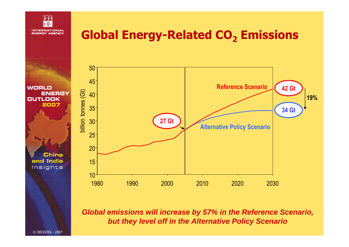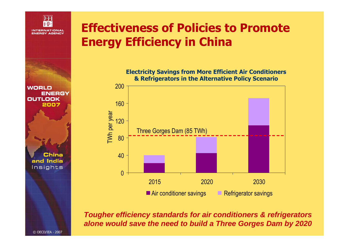

#### **Effectiveness of Policies to Promote Energy Efficiency in China**

**Electricity Savings from More Efficient Air Conditioners & Refrigerators in the Alternative Policy Scenario**



*Tougher efficiency standards for air conditioners & refrigerators alone would save the need to build a Three Gorges Dam by 2020*

**WORLD ENERGY OUTLOOK** 2007

**China** and India Insights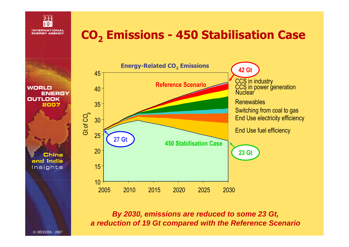

#### **CO<sup>2</sup> Emissions - 450 Stabilisation Case**

**WORLD ENERGY OUTLOOK** 2007

> China and India Insights



*By 2030, emissions are reduced to some 23 Gt, a reduction of 19 Gt compared with the Reference Scenario*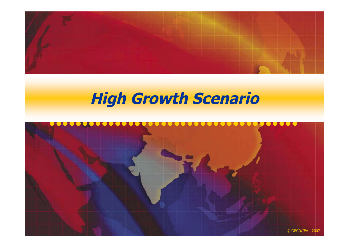

# **High Growth Scenario**

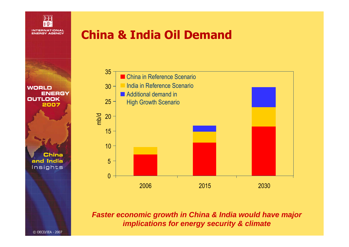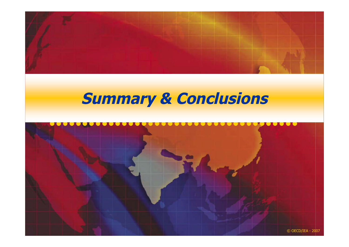

## **Summary & Conclusions**